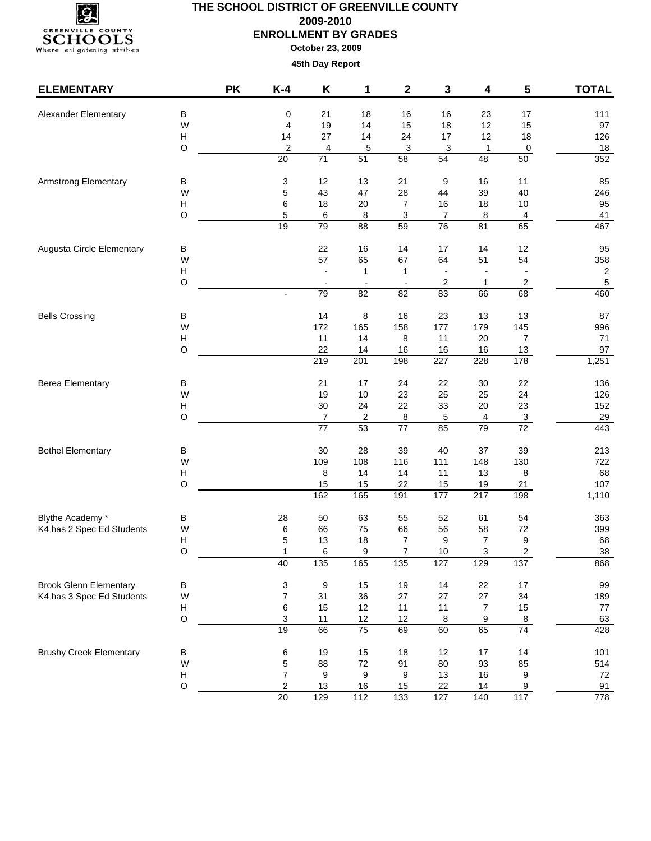

**October 23, 2009**

| <b>ELEMENTARY</b>              |                           | <b>PK</b> | $K-4$          | Κ                | 1                        | $\mathbf 2$              | 3                        | 4                | 5                        | <b>TOTAL</b> |
|--------------------------------|---------------------------|-----------|----------------|------------------|--------------------------|--------------------------|--------------------------|------------------|--------------------------|--------------|
| Alexander Elementary           | В                         |           | 0              | 21               | 18                       | 16                       | 16                       | 23               | 17                       | 111          |
|                                | W                         |           | 4              | 19               | 14                       | 15                       | 18                       | 12               | 15                       | 97           |
|                                | $\boldsymbol{\mathsf{H}}$ |           | 14             | 27               | 14                       | 24                       | 17                       | 12               | 18                       | 126          |
|                                | $\circ$                   |           | 2              | 4                | 5                        | 3                        | 3                        | 1                | 0                        | $18$         |
|                                |                           |           | 20             | 71               | $\overline{51}$          | $\overline{58}$          | 54                       | 48               | 50                       | 352          |
| <b>Armstrong Elementary</b>    | В                         |           | 3              | 12               | 13                       | 21                       | 9                        | 16               | 11                       | 85           |
|                                | W                         |           | 5              | 43               | 47                       | 28                       | 44                       | 39               | 40                       | 246          |
|                                | $\boldsymbol{\mathsf{H}}$ |           | 6              | 18               | 20                       | 7                        | 16                       | 18               | $10$                     | 95           |
|                                | $\circ$                   |           | $\mathbf 5$    | 6                | 8                        | 3                        | $\overline{7}$           | 8                | 4                        | 41           |
|                                |                           |           | 19             | $\overline{79}$  | $\overline{88}$          | $\overline{59}$          | $\overline{76}$          | 81               | 65                       | 467          |
| Augusta Circle Elementary      | в                         |           |                | 22               | 16                       | 14                       | 17                       | 14               | 12                       | 95           |
|                                | W                         |           |                | 57               | 65                       | 67                       | 64                       | 51               | 54                       | 358          |
|                                | $\boldsymbol{\mathsf{H}}$ |           |                | $\overline{a}$   | $\mathbf{1}$             | 1                        | $\overline{\phantom{a}}$ |                  | $\overline{\phantom{a}}$ | $\sqrt{2}$   |
|                                | $\circ$                   |           |                | $\blacksquare$   | $\overline{\phantom{a}}$ | $\overline{\phantom{a}}$ | 2                        | 1                | $\overline{\mathbf{c}}$  | $\sqrt{5}$   |
|                                |                           |           |                | 79               | 82                       | 82                       | 83                       | 66               | 68                       | 460          |
| <b>Bells Crossing</b>          | B                         |           |                | 14               | 8                        | 16                       | 23                       | 13               | 13                       | 87           |
|                                | W                         |           |                | 172              | 165                      | 158                      | 177                      | 179              | 145                      | 996          |
|                                | н                         |           |                | 11               | 14                       | 8                        | 11                       | $20\,$           | 7                        | 71           |
|                                | $\circ$                   |           |                | 22               | 14                       | 16                       | 16                       | $16\,$           | 13                       | 97           |
|                                |                           |           |                | $\overline{219}$ | 201                      | 198                      | 227                      | 228              | 178                      | 1,251        |
| <b>Berea Elementary</b>        | В                         |           |                | 21               | 17                       | 24                       | 22                       | 30               | 22                       | 136          |
|                                | W                         |           |                | 19               | 10                       | 23                       | 25                       | 25               | 24                       | 126          |
|                                | $\boldsymbol{\mathsf{H}}$ |           |                | 30               | 24                       | 22                       | 33                       | 20               | 23                       | 152          |
|                                | O                         |           |                | $\overline{7}$   | 2                        | 8                        | 5                        | 4                | $\overline{3}$           | <u>29</u>    |
|                                |                           |           |                | $\overline{77}$  | 53                       | $\overline{77}$          | 85                       | 79               | $\overline{72}$          | 443          |
| <b>Bethel Elementary</b>       | B                         |           |                | 30               | 28                       | 39                       | 40                       | 37               | 39                       | 213          |
|                                | W                         |           |                | 109              | 108                      | 116                      | 111                      | 148              | 130                      | 722          |
|                                | H                         |           |                | 8                | 14                       | 14                       | 11                       | 13               | 8                        | 68           |
|                                | $\circ$                   |           |                | 15               | 15                       | 22                       | 15                       | 19               | 21                       | 107          |
|                                |                           |           |                | 162              | 165                      | 191                      | 177                      | $\overline{217}$ | 198                      | 1,110        |
| Blythe Academy *               | В                         |           | 28             | 50               | 63                       | 55                       | 52                       | 61               | 54                       | 363          |
| K4 has 2 Spec Ed Students      | W                         |           | 6              | 66               | 75                       | 66                       | 56                       | 58               | 72                       | 399          |
|                                | $\boldsymbol{\mathsf{H}}$ |           | 5              | 13               | 18                       | 7                        | 9                        | 7                | 9                        | 68           |
|                                | O                         |           | 1<br>40        | 6<br>135         | 9<br>165                 | $\overline{7}$           | 10<br>127                | 3<br>129         | $\overline{c}$<br>137    | 38           |
|                                |                           |           |                |                  |                          | 135                      |                          |                  |                          | 868          |
| <b>Brook Glenn Elementary</b>  | B                         |           | 3              | 9                | 15                       | 19                       | 14                       | 22               | 17                       | 99           |
| K4 has 3 Spec Ed Students      | W                         |           | $\overline{7}$ | 31               | 36                       | 27                       | 27                       | 27               | 34                       | 189          |
|                                | H                         |           | 6              | 15               | 12                       | 11                       | 11                       | $\boldsymbol{7}$ | 15                       | 77           |
|                                | $\circ$                   |           | 3              | 11               | 12                       | 12                       | 8                        | 9                | $8\phantom{.}$           | 63           |
|                                |                           |           | 19             | 66               | $\overline{75}$          | 69                       | 60                       | 65               | 74                       | 428          |
| <b>Brushy Creek Elementary</b> | В                         |           | 6              | 19               | 15                       | 18                       | 12                       | 17               | 14                       | 101          |
|                                | W                         |           | 5              | 88               | 72                       | 91                       | 80                       | 93               | 85                       | 514          |
|                                | Н                         |           | $\overline{7}$ | 9                | 9                        | 9                        | 13                       | $16\,$           | 9                        | 72           |
|                                | $\mathsf O$               |           | $\overline{c}$ | 13               | 16                       | 15                       | 22                       | 14               | 9                        | 91           |
|                                |                           |           | 20             | 129              | 112                      | $\overline{133}$         | $\overline{127}$         | 140              | 117                      | 778          |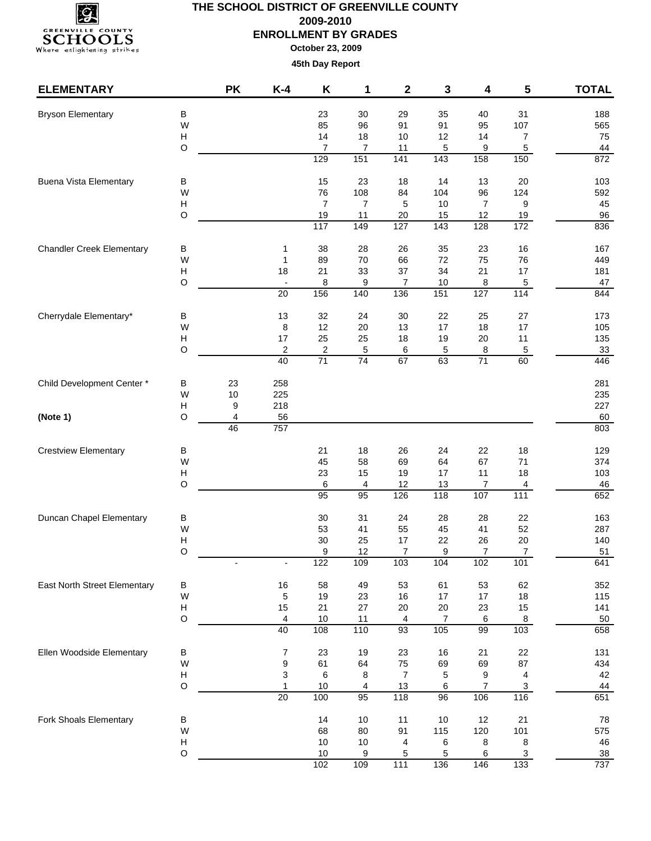

| <b>ELEMENTARY</b>                |             | <b>PK</b> | $K-4$                    | K                       | 1               | $\mathbf 2$              | 3               | 4              | 5                                | <b>TOTAL</b> |
|----------------------------------|-------------|-----------|--------------------------|-------------------------|-----------------|--------------------------|-----------------|----------------|----------------------------------|--------------|
| <b>Bryson Elementary</b>         | В           |           |                          | 23                      | 30              | 29                       | 35              | 40             | 31                               | 188          |
|                                  | W           |           |                          | 85                      | 96              | 91                       | 91              | 95             | 107                              | 565          |
|                                  | Н           |           |                          | 14                      | 18              | 10                       | 12              | 14             | $\overline{7}$                   | 75           |
|                                  | O           |           |                          | $\overline{7}$          | 7               | 11                       | 5               | 9              | 5                                | 44           |
|                                  |             |           |                          | 129                     | 151             | $\frac{1}{141}$          | $\frac{1}{143}$ | 158            | 150                              | 872          |
| <b>Buena Vista Elementary</b>    | в           |           |                          | 15                      | 23              | 18                       | 14              | 13             | 20                               | 103          |
|                                  | W           |           |                          | 76                      | 108             | 84                       | 104             | 96             | 124                              | 592          |
|                                  | н<br>O      |           |                          | $\overline{7}$<br>19    | $\overline{7}$  | 5                        | 10              | 7<br>12        | 9                                | 45           |
|                                  |             |           |                          | 117                     | 11<br>149       | $20\,$<br>$\frac{1}{27}$ | 15<br>143       | 128            | 19<br>172                        | 96<br>836    |
| <b>Chandler Creek Elementary</b> | В           |           | 1                        | 38                      | 28              | 26                       | 35              | 23             | 16                               | 167          |
|                                  | W           |           | 1                        | 89                      | 70              | 66                       | 72              | 75             | 76                               | 449          |
|                                  | н           |           | 18                       | 21                      | 33              | 37                       | 34              | 21             | 17                               | 181          |
|                                  | O           |           | $\overline{\phantom{a}}$ | 8                       | 9               | 7                        | 10              | 8              | 5                                | 47           |
|                                  |             |           | $\overline{20}$          | 156                     | 140             | 136                      | 151             | 127            | $\frac{1}{114}$                  | 844          |
| Cherrydale Elementary*           | В           |           | 13                       | 32                      | 24              | 30                       | 22              | 25             | 27                               | 173          |
|                                  | W           |           | 8                        | 12                      | 20              | 13                       | 17              | 18             | 17                               | 105          |
|                                  | н           |           | 17                       | 25                      | 25              | 18                       | 19              | $20\,$         | 11                               | 135          |
|                                  | O           |           | $\overline{\mathbf{c}}$  | $\overline{\mathbf{c}}$ | 5               | 6                        | 5               | 8              | $\,$ 5 $\,$                      | 33           |
|                                  |             |           | 40                       | 71                      | $\overline{74}$ | 67                       | 63              | 71             | 60                               | 446          |
| Child Development Center*        | В           | 23        | 258                      |                         |                 |                          |                 |                |                                  | 281          |
|                                  | W           | $10$      | 225                      |                         |                 |                          |                 |                |                                  | 235          |
|                                  | Н           | 9         | 218                      |                         |                 |                          |                 |                |                                  | 227          |
| (Note 1)                         | O           | 4<br>46   | 56<br>757                |                         |                 |                          |                 |                |                                  | 60<br>803    |
|                                  |             |           |                          |                         |                 |                          |                 |                |                                  |              |
| <b>Crestview Elementary</b>      | В<br>W      |           |                          | 21<br>45                | 18<br>58        | 26<br>69                 | 24<br>64        | 22<br>67       | 18<br>71                         | 129<br>374   |
|                                  | Н           |           |                          | 23                      | 15              | 19                       | 17              | 11             | 18                               | 103          |
|                                  | O           |           |                          | 6                       | 4               | 12                       | 13              | 7              | 4                                | 46           |
|                                  |             |           |                          | 95                      | $\overline{95}$ | 126                      | 118             | 107            | $\frac{111}{111}$                | 652          |
| Duncan Chapel Elementary         | В           |           |                          | 30                      | 31              | 24                       | 28              | 28             | 22                               | 163          |
|                                  | W           |           |                          | 53                      | 41              | 55                       | 45              | 41             | 52                               | 287          |
|                                  | Н           |           |                          | 30                      | 25              | 17                       | 22              | 26             | 20                               | 140          |
|                                  | O           |           |                          | 9                       | 12              | 7                        | 9               | $\overline{7}$ | $\boldsymbol{7}$                 | 51           |
|                                  |             |           | $\overline{\phantom{a}}$ | 122                     | 109             | $\overline{103}$         | 104             | 102            | 101                              | 641          |
| East North Street Elementary     | В           |           | 16                       | 58                      | 49              | 53                       | 61              | 53             | 62                               | 352          |
|                                  | W           |           | 5                        | 19                      | 23              | 16                       | 17              | 17             | $18$                             | 115          |
|                                  | Н<br>O      |           | 15<br>$\overline{4}$     | 21<br>10                | 27<br>11        | 20<br>$\overline{4}$     | $20\,$<br>7     | 23<br>6        | 15<br>$\boldsymbol{8}$           | 141<br>50    |
|                                  |             |           | 40                       | 108                     | 110             | 93                       | 105             | 99             | 103                              | 658          |
| Ellen Woodside Elementary        | В           |           | $\overline{7}$           | 23                      | 19              | 23                       | 16              | 21             | 22                               | 131          |
|                                  | W           |           | $\boldsymbol{9}$         | 61                      | 64              | 75                       | 69              | 69             | 87                               | 434          |
|                                  | H           |           | 3                        | 6                       | 8               | $\overline{7}$           | 5               | 9              | 4                                | 42           |
|                                  | $\mathsf O$ |           | $\mathbf{1}$             | 10                      | $\overline{4}$  | $13$                     | 6               | $\overline{7}$ | $\ensuremath{\mathsf{3}}$        | 44           |
|                                  |             |           | $\overline{20}$          | 100                     | 95              | 118                      | 96              | 106            | $\frac{116}{116}$                | 651          |
| Fork Shoals Elementary           | В           |           |                          | 14                      | 10              | 11                       | 10              | 12             | 21                               | 78           |
|                                  | W           |           |                          | 68                      | 80              | 91                       | 115             | 120            | 101                              | 575          |
|                                  | Н           |           |                          | 10                      | $10$            | 4                        | 6               | 8              | 8                                | 46           |
|                                  | O           |           |                          | 10<br>102               | 9<br>109        | 5<br>$\overline{111}$    | 5<br>136        | 6<br>146       | $\ensuremath{\mathsf{3}}$<br>133 | 38<br>737    |
|                                  |             |           |                          |                         |                 |                          |                 |                |                                  |              |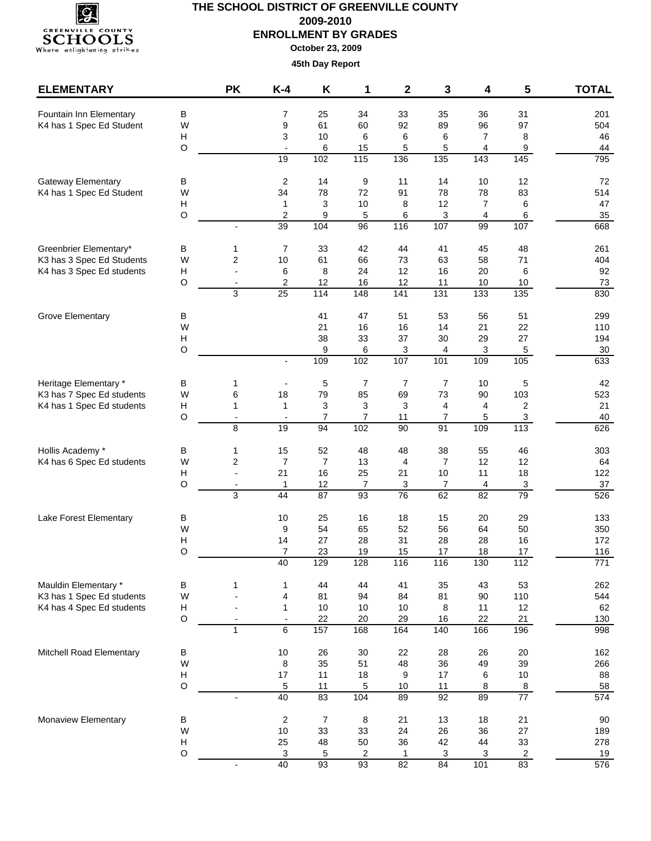

| <b>ELEMENTARY</b>                             |                  | <b>PK</b>                | $K-4$                                    | Κ                    | 1                    | $\mathbf 2$                     | 3                    | 4                | 5                                           | <b>TOTAL</b>     |
|-----------------------------------------------|------------------|--------------------------|------------------------------------------|----------------------|----------------------|---------------------------------|----------------------|------------------|---------------------------------------------|------------------|
| Fountain Inn Elementary                       | В                |                          | 7                                        | 25                   | 34                   | 33                              | 35                   | 36               | 31                                          | 201              |
| K4 has 1 Spec Ed Student                      | W                |                          | 9                                        | 61                   | 60                   | 92                              | 89                   | 96               | 97                                          | 504              |
|                                               | н                |                          | 3                                        | 10                   | 6                    | 6                               | 6                    | 7                | 8                                           | 46               |
|                                               | $\circ$          |                          | $\blacksquare$                           | 6<br>102             | 15                   | 5                               | 5                    | 4                | 9                                           | 44<br>795        |
|                                               |                  |                          | 19                                       |                      | 115                  | 136                             | $\overline{135}$     | $\frac{1}{143}$  | $\frac{1}{145}$                             |                  |
| <b>Gateway Elementary</b>                     | В                |                          | $\overline{2}$                           | 14                   | 9                    | 11                              | 14                   | 10               | 12                                          | 72               |
| K4 has 1 Spec Ed Student                      | W<br>н           |                          | 34<br>$\mathbf{1}$                       | 78<br>3              | 72<br>$10$           | 91<br>8                         | 78<br>12             | 78<br>7          | 83<br>6                                     | 514<br>47        |
|                                               | $\hbox{O}$       |                          | $\overline{c}$                           | 9                    | 5                    | 6                               | 3                    | 4                | 6                                           | 35               |
|                                               |                  |                          | 39                                       | 104                  | 96                   | 116                             | 107                  | 99               | 107                                         | 668              |
| Greenbrier Elementary*                        | в                | 1                        | 7                                        | 33                   | 42                   | 44                              | 41                   | 45               | 48                                          | 261              |
| K3 has 3 Spec Ed Students                     | W                | 2                        | $10$                                     | 61                   | 66                   | 73                              | 63                   | 58               | 71                                          | 404              |
| K4 has 3 Spec Ed students                     | н                | $\overline{a}$           | 6                                        | 8                    | 24                   | 12                              | 16                   | 20               | 6                                           | 92               |
|                                               | $\mathsf O$      | $\overline{\phantom{a}}$ | 2                                        | 12                   | 16                   | 12                              | 11                   | 10               | 10                                          | 73               |
|                                               |                  | 3                        | 25                                       | 114                  | 148                  | 141                             | $\frac{1}{131}$      | $\overline{133}$ | 135                                         | 830              |
| Grove Elementary                              | В                |                          |                                          | 41                   | 47                   | 51                              | 53                   | 56               | 51                                          | 299              |
|                                               | W                |                          |                                          | 21                   | 16                   | 16                              | 14                   | 21               | 22                                          | 110              |
|                                               | н<br>$\circ$     |                          |                                          | 38                   | 33                   | 37                              | 30                   | 29               | 27                                          | 194              |
|                                               |                  |                          | $\overline{\phantom{a}}$                 | 9<br>109             | 6<br>102             | 3<br>107                        | 4<br>101             | 3<br>109         | 5<br>$\frac{105}{105}$                      | $30\,$<br>633    |
|                                               |                  |                          |                                          |                      |                      |                                 |                      |                  |                                             |                  |
| Heritage Elementary *                         | в                | 1                        |                                          | 5                    | 7                    | 7                               | 7                    | 10               | 5                                           | 42               |
| K3 has 7 Spec Ed students                     | W                | 6                        | 18                                       | 79                   | 85                   | 69                              | 73                   | 90               | 103                                         | 523              |
| K4 has 1 Spec Ed students                     | н<br>$\circ$     | 1<br>$\overline{a}$      | $\mathbf{1}$<br>$\overline{\phantom{a}}$ | 3<br>$\overline{7}$  | 3<br>$\overline{7}$  | 3<br>11                         | 4<br>$\overline{7}$  | 4<br>5           | $\overline{c}$<br>$\ensuremath{\mathsf{3}}$ | 21<br>40         |
|                                               |                  | 8                        | 19                                       | 94                   | 102                  | 90                              | 91                   | 109              | $\frac{1}{113}$                             | 626              |
|                                               | B                |                          | 15                                       |                      | 48                   | 48                              |                      | 55               |                                             |                  |
| Hollis Academy *<br>K4 has 6 Spec Ed students | W                | 1<br>2                   | $\overline{7}$                           | 52<br>$\overline{7}$ | 13                   | $\overline{4}$                  | 38<br>$\overline{7}$ | 12               | 46<br>12                                    | 303<br>64        |
|                                               | Н                | $\overline{\phantom{0}}$ | 21                                       | 16                   | 25                   | 21                              | 10                   | 11               | 18                                          | 122              |
|                                               | $\circ$          | $\overline{a}$           | $\mathbf{1}$                             | 12                   | $\overline{7}$       | 3                               | $\overline{7}$       | 4                | $\ensuremath{\mathsf{3}}$                   | 37               |
|                                               |                  | 3                        | 44                                       | 87                   | 93                   | $\overline{76}$                 | 62                   | $\overline{82}$  | 79                                          | 526              |
| Lake Forest Elementary                        | В                |                          | 10                                       | 25                   | 16                   | 18                              | 15                   | 20               | 29                                          | 133              |
|                                               | W                |                          | 9                                        | 54                   | 65                   | 52                              | 56                   | 64               | 50                                          | 350              |
|                                               | Н                |                          | 14                                       | 27                   | 28                   | 31                              | 28                   | 28               | 16                                          | 172              |
|                                               | $\circ$          |                          | $\overline{7}$                           | 23                   | 19                   | 15                              | 17                   | 18               | 17                                          | 116              |
|                                               |                  |                          | 40                                       | 129                  | 128                  | 116                             | 116                  | 130              | $\frac{1}{12}$                              | $\overline{771}$ |
| Mauldin Elementary *                          | В                | 1                        | 1                                        | 44                   | 44                   | 41                              | 35                   | 43               | 53                                          | 262              |
| K3 has 1 Spec Ed students                     | W                | $\overline{a}$           | 4                                        | 81                   | 94                   | 84                              | 81                   | 90               | 110                                         | 544              |
| K4 has 4 Spec Ed students                     | Н<br>$\mathsf O$ | $\overline{a}$           | $\mathbf{1}$<br>$\overline{\phantom{a}}$ | 10<br>22             | 10<br>20             | $10$<br>29                      | 8<br>16              | 11<br>22         | 12<br>21                                    | 62<br>130        |
|                                               |                  | $\mathbf{1}$             | $6\phantom{1}$                           | 157                  | 168                  | 164                             | 140                  | 166              | 196                                         | 998              |
| Mitchell Road Elementary                      |                  |                          | $10$                                     | 26                   | 30                   | 22                              | 28                   | 26               | $20\,$                                      | 162              |
|                                               | В<br>W           |                          | 8                                        | 35                   | 51                   | 48                              | 36                   | 49               | 39                                          | 266              |
|                                               | н                |                          | 17                                       | 11                   | 18                   | 9                               | 17                   | 6                | 10                                          | 88               |
|                                               | $\hbox{O}$       |                          | $\sqrt{5}$                               | 11                   | 5                    | 10                              | 11                   | 8                | 8                                           | 58               |
|                                               |                  | $\blacksquare$           | 40                                       | 83                   | 104                  | 89                              | 92                   | 89               | $\overline{77}$                             | $\overline{574}$ |
| Monaview Elementary                           | В                |                          | $\boldsymbol{2}$                         | 7                    | 8                    | 21                              | 13                   | 18               | 21                                          | 90               |
|                                               | W                |                          | $10$                                     | 33                   | 33                   | 24                              | 26                   | 36               | 27                                          | 189              |
|                                               | н                |                          | 25                                       | 48                   | 50                   | 36                              | 42                   | 44               | 33                                          | 278              |
|                                               | $\mathsf O$      | $\overline{\phantom{a}}$ | $\ensuremath{\mathsf{3}}$<br>40          | $\sqrt{5}$<br>93     | $\overline{c}$<br>93 | $\mathbf{1}$<br>$\overline{82}$ | $\mathbf{3}$<br>84   | 3<br>101         | $\overline{2}$<br>83                        | 19<br>576        |
|                                               |                  |                          |                                          |                      |                      |                                 |                      |                  |                                             |                  |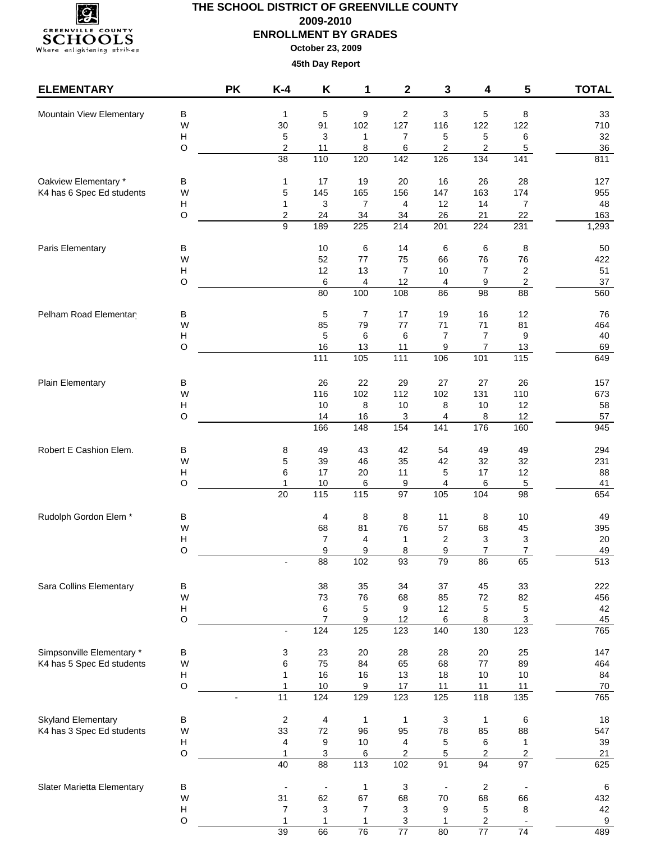

| <b>ELEMENTARY</b>          |                           | <b>PK</b> | $K-4$                    | Κ                         | 1                | 2                | 3                        | 4                | 5                       | <b>TOTAL</b>     |
|----------------------------|---------------------------|-----------|--------------------------|---------------------------|------------------|------------------|--------------------------|------------------|-------------------------|------------------|
| Mountain View Elementary   | B                         |           | $\mathbf{1}$             | $\mathbf 5$               | 9                | $\overline{2}$   | 3                        | 5                | 8                       | 33               |
|                            | W                         |           | 30                       | 91                        | 102              | 127              | 116                      | 122              | 122                     | 710              |
|                            | Н                         |           | 5                        | 3                         | $\mathbf{1}$     | $\overline{7}$   | 5                        | 5                | 6                       | 32               |
|                            | $\circ$                   |           | $\boldsymbol{2}$         | 11                        | 8                | 6                | 2                        | 2                | 5                       | 36               |
|                            |                           |           | 38                       | 110                       | 120              | 142              | 126                      | 134              | 141                     | 811              |
| Oakview Elementary *       | В                         |           | $\mathbf{1}$             | 17                        | 19               | 20               | 16                       | 26               | 28                      | 127              |
| K4 has 6 Spec Ed students  | W                         |           | 5                        | 145                       | 165              | 156              | 147                      | 163              | 174                     | 955              |
|                            | H                         |           | $\mathbf{1}$             | 3                         | $\overline{7}$   | 4                | 12                       | 14               | $\overline{7}$          | 48               |
|                            | $\circ$                   |           | $\boldsymbol{2}$         | 24                        | 34               | 34               | 26                       | 21               | 22                      | 163              |
|                            |                           |           | $\overline{9}$           | 189                       | $\overline{225}$ | 214              | 201                      | $\overline{224}$ | 231                     | 1,293            |
| Paris Elementary           | В                         |           |                          | 10                        | 6                | 14               | $\,6\,$                  | 6                | 8                       | 50               |
|                            | W                         |           |                          | 52                        | 77               | 75               | 66                       | 76               | 76                      | 422              |
|                            | H                         |           |                          | 12                        | 13               | $\overline{7}$   | 10                       | $\overline{7}$   | $\overline{\mathbf{c}}$ | 51               |
|                            | $\circ$                   |           |                          | 6                         | 4                | 12               | 4                        | 9                | $\overline{\mathbf{c}}$ | 37               |
|                            |                           |           |                          | 80                        | 100              | 108              | 86                       | $\overline{98}$  | $\overline{88}$         | 560              |
| Pelham Road Elementar      | В                         |           |                          | 5                         | 7                | 17               | 19                       | 16               | 12                      | 76               |
|                            | W                         |           |                          | 85                        | 79               | $77$             | 71                       | $71$             | 81                      | 464              |
|                            | H                         |           |                          | 5                         | 6                | 6                | $\overline{7}$           | $\overline{7}$   | $\boldsymbol{9}$        | 40               |
|                            | $\circ$                   |           |                          | 16                        | 13               | 11               | 9                        | $\overline{7}$   | 13                      | 69               |
|                            |                           |           |                          | $\frac{111}{111}$         | 105              | $\frac{111}{11}$ | 106                      | 101              | 115                     | 649              |
| Plain Elementary           | В                         |           |                          | 26                        | 22               | 29               | 27                       | 27               | 26                      | 157              |
|                            | W                         |           |                          | 116                       | 102              | 112              | 102                      | 131              | 110                     | 673              |
|                            | H                         |           |                          | 10                        | 8                | 10               | 8                        | 10               | 12                      | 58               |
|                            | $\circ$                   |           |                          | 14                        | 16               |                  | 4                        |                  | 12                      | 57               |
|                            |                           |           |                          | 166                       | 148              | 3<br>154         | 141                      | 8<br>176         | 160                     | 945              |
| Robert E Cashion Elem.     | B                         |           | 8                        | 49                        | 43               | 42               | 54                       | 49               | 49                      | 294              |
|                            | W                         |           | 5                        | 39                        | 46               | 35               | 42                       | 32               | 32                      | 231              |
|                            | H                         |           | 6                        | 17                        | 20               | 11               | 5                        | 17               | 12                      | 88               |
|                            | $\circ$                   |           | $\mathbf{1}$             | $10$                      | 6                | 9                | 4                        | 6                | $\,$ 5 $\,$             | 41               |
|                            |                           |           | $\overline{20}$          | 115                       | 115              | 97               | 105                      | 104              | $\overline{98}$         | 654              |
| Rudolph Gordon Elem *      | В                         |           |                          | 4                         | 8                | 8                | 11                       | 8                | 10                      | 49               |
|                            | W                         |           |                          | 68                        | 81               | 76               | 57                       | 68               | 45                      | 395              |
|                            | H                         |           |                          | 7                         | 4                | 1                | 2                        | 3                | 3                       | 20               |
|                            | $\circ$                   |           |                          | 9                         | 9                | 8                | 9                        | 7                | $\overline{7}$          | 49               |
|                            |                           |           |                          | 88                        | 102              | 93               | 79                       | 86               | 65                      | 513              |
| Sara Collins Elementary    | B                         |           |                          | 38                        | 35               | 34               | 37                       | 45               | 33                      | 222              |
|                            | W                         |           |                          | 73                        | 76               | 68               | 85                       | $72\,$           | 82                      | 456              |
|                            | H                         |           |                          | 6                         | 5                | 9                | 12                       | 5                | 5                       | 42               |
|                            | $\circ$                   |           |                          | 7                         | 9                | 12               | 6                        | 8                | $\mathfrak{S}$          | 45               |
|                            |                           |           | $\overline{\phantom{a}}$ | 124                       | 125              | 123              | 140                      | 130              | 123                     | 765              |
| Simpsonville Elementary *  | В                         |           | 3                        | 23                        | 20               | 28               | 28                       | 20               | 25                      | 147              |
| K4 has 5 Spec Ed students  | W                         |           | 6                        | 75                        | 84               | 65               | 68                       | $77\,$           | 89                      | 464              |
|                            | Н                         |           | $\mathbf{1}$             | 16                        | 16               | 13               | 18                       | $10$             | $10$                    | 84               |
|                            | $\hbox{O}$                |           | $\mathbf{1}$             | 10                        | 9                | 17               | 11                       | 11               | 11                      | 70               |
|                            |                           |           | $\overline{11}$          | 124                       | 129              | 123              | 125                      | 118              | $\overline{135}$        | 765              |
| <b>Skyland Elementary</b>  | $\sf B$                   |           | $\boldsymbol{2}$         | $\overline{\mathbf{4}}$   | $\mathbf{1}$     | $\mathbf{1}$     | 3                        | $\mathbf{1}$     | $\,6$                   | 18               |
| K4 has 3 Spec Ed students  | W                         |           | 33                       | 72                        | 96               | 95               | 78                       | 85               | 88                      | 547              |
|                            | H                         |           | 4                        | 9                         | $10$             | 4                | 5                        | 6                | $\mathbf{1}$            | 39               |
|                            | $\circ$                   |           | $\mathbf{1}$<br>40       | 3<br>88                   | 6<br>113         | 2<br>102         | 5<br>91                  | 2<br>94          | $\mathbf{2}$<br>97      | 21<br>625        |
|                            |                           |           |                          |                           |                  |                  |                          |                  |                         |                  |
| Slater Marietta Elementary | B                         |           |                          | $\blacksquare$            | 1                | 3                | $\overline{\phantom{a}}$ | $\overline{c}$   | $\blacksquare$          | $\,6\,$          |
|                            | W                         |           | 31                       | 62                        | 67               | 68               | 70                       | 68               | 66                      | 432              |
|                            | $\boldsymbol{\mathsf{H}}$ |           | 7                        | $\ensuremath{\mathsf{3}}$ | $\overline{7}$   | 3                | $\boldsymbol{9}$         | 5                | 8                       | 42               |
|                            | $\circ$                   |           | 1                        | $\mathbf{1}$              | 1                | 3                | 1                        | 2                |                         | $\boldsymbol{9}$ |
|                            |                           |           | 39                       | 66                        | $\overline{76}$  | $\overline{77}$  | 80                       | $\overline{77}$  | $\overline{74}$         | 489              |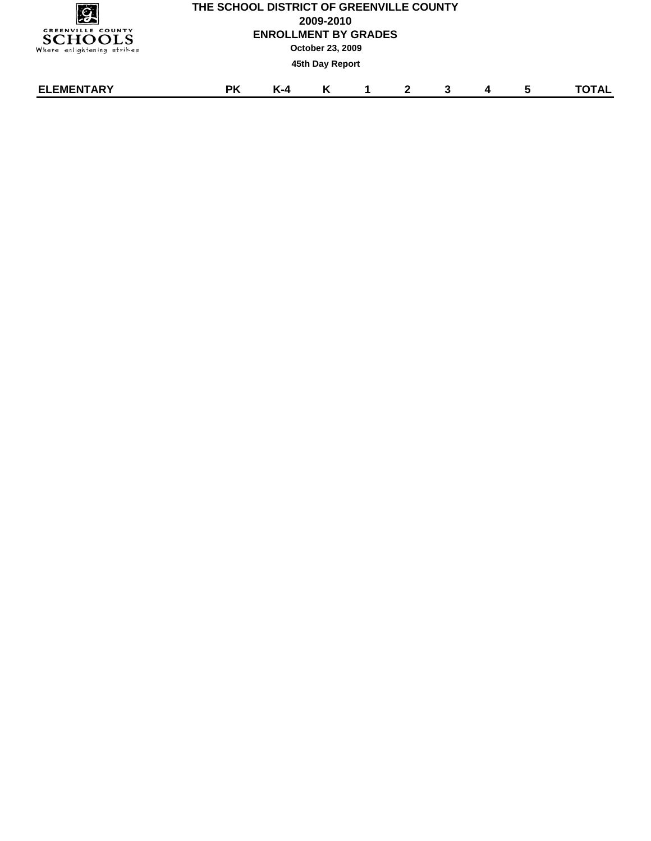| <u>g</u><br><b>GREENVILLE COUNTY</b><br><b>SCHOOLS</b><br>Where enlightening strikes |    | THE SCHOOL DISTRICT OF GREENVILLE COUNTY<br>2009-2010<br><b>ENROLLMENT BY GRADES</b><br><b>October 23, 2009</b> |                 |                |              |   |  |   |              |  |  |  |
|--------------------------------------------------------------------------------------|----|-----------------------------------------------------------------------------------------------------------------|-----------------|----------------|--------------|---|--|---|--------------|--|--|--|
|                                                                                      |    |                                                                                                                 | 45th Day Report |                |              |   |  |   |              |  |  |  |
| <b>ELEMENTARY</b>                                                                    | РK | $K-4$                                                                                                           | K               | $\overline{1}$ | $\mathbf{2}$ | 3 |  | 5 | <b>TOTAL</b> |  |  |  |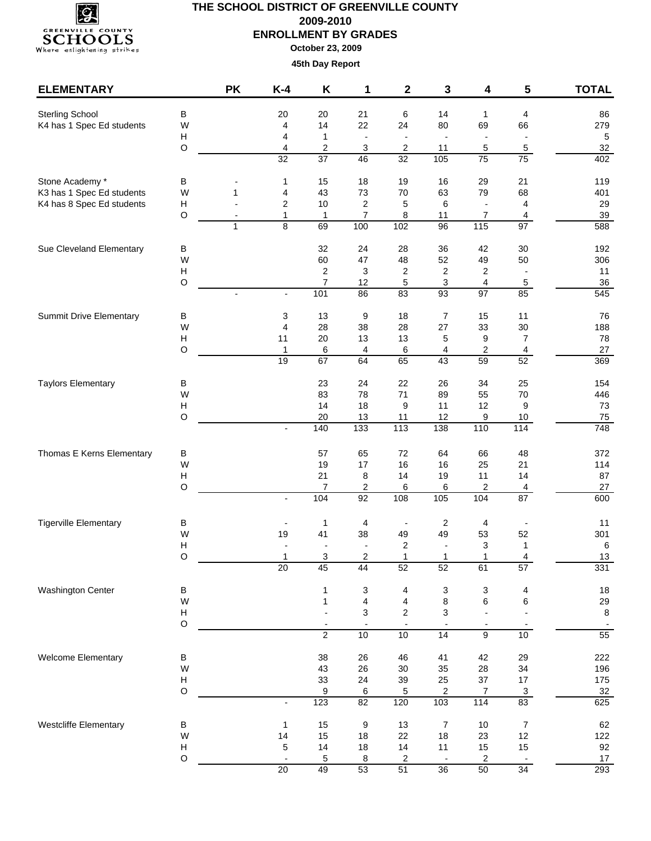

| <b>ELEMENTARY</b>              |                                      | <b>PK</b>    | $K-4$                          | Κ                                       | 1                             | $\mathbf 2$                  | 3                    | 4                             | 5                             | <b>TOTAL</b>     |
|--------------------------------|--------------------------------------|--------------|--------------------------------|-----------------------------------------|-------------------------------|------------------------------|----------------------|-------------------------------|-------------------------------|------------------|
| <b>Sterling School</b>         | В                                    |              | 20                             | 20                                      | 21                            | 6                            | 14                   | $\mathbf 1$                   | $\overline{4}$                | 86               |
| K4 has 1 Spec Ed students      | W                                    |              | 4                              | 14                                      | 22                            | 24                           | 80                   | 69                            | 66                            | 279              |
|                                | $\boldsymbol{\mathsf{H}}$<br>O       |              | 4<br>4                         | $\mathbf{1}$<br>$\overline{\mathbf{c}}$ | $\overline{\phantom{a}}$<br>3 | $\overline{2}$               | $\blacksquare$<br>11 | $\overline{\phantom{a}}$<br>5 | $\blacksquare$<br>$\,$ 5 $\,$ | $\sqrt{5}$<br>32 |
|                                |                                      |              | $\overline{32}$                | $\overline{37}$                         | 46                            | $\overline{32}$              | 105                  | $\overline{75}$               | 75                            | 402              |
| Stone Academy *                | В                                    |              | $\mathbf{1}$                   | 15                                      | 18                            | 19                           | 16                   | 29                            | 21                            | 119              |
| K3 has 1 Spec Ed students      | W                                    | 1            | 4                              | 43                                      | 73                            | $70\,$                       | 63                   | 79                            | 68                            | 401              |
| K4 has 8 Spec Ed students      | Н                                    |              | $\overline{2}$                 | 10                                      | 2                             | 5                            | 6                    | $\blacksquare$                | $\overline{4}$                | 29               |
|                                | $\circ$                              | $\mathbf{1}$ | $\mathbf{1}$<br>$\overline{8}$ | $\mathbf{1}$<br>69                      | $\overline{7}$<br>100         | 8<br>102                     | 11<br>96             | $\overline{7}$<br>115         | 4<br>97                       | 39<br>588        |
|                                |                                      |              |                                |                                         |                               |                              |                      |                               |                               |                  |
| Sue Cleveland Elementary       | В<br>W                               |              |                                | 32<br>60                                | 24<br>47                      | 28<br>48                     | 36<br>52             | 42<br>49                      | 30<br>50                      | 192<br>306       |
|                                | $\boldsymbol{\mathsf{H}}$            |              |                                | 2                                       | 3                             | $\overline{\mathbf{c}}$      | $\overline{c}$       | $\overline{\mathbf{c}}$       | $\blacksquare$                | 11               |
|                                | O                                    |              |                                | $\overline{7}$                          | 12                            | 5                            | 3                    | 4                             | 5                             | 36               |
|                                |                                      |              | $\frac{1}{2}$                  | 101                                     | 86                            | 83                           | 93                   | $\overline{97}$               | 85                            | 545              |
| <b>Summit Drive Elementary</b> | B                                    |              | 3                              | 13                                      | 9                             | 18                           | $\overline{7}$       | 15                            | 11                            | 76               |
|                                | W                                    |              | 4                              | 28                                      | 38                            | 28                           | 27                   | 33                            | 30                            | 188              |
|                                | $\boldsymbol{\mathsf{H}}$<br>O       |              | 11<br>$\mathbf{1}$             | $20\,$<br>6                             | 13<br>4                       | 13<br>6                      | 5<br>4               | 9<br>2                        | $\overline{7}$<br>4           | 78<br>27         |
|                                |                                      |              | 19                             | 67                                      | 64                            | 65                           | 43                   | 59                            | 52                            | 369              |
| <b>Taylors Elementary</b>      | В                                    |              |                                | 23                                      | 24                            | 22                           | 26                   | 34                            | 25                            | 154              |
|                                | W                                    |              |                                | 83                                      | 78                            | 71                           | 89                   | 55                            | 70                            | 446              |
|                                | $\boldsymbol{\mathsf{H}}$            |              |                                | 14                                      | 18                            | 9                            | 11                   | 12                            | 9                             | 73               |
|                                | O                                    |              | $\blacksquare$                 | 20<br>140                               | 13<br>133                     | 11<br>113                    | 12<br>138            | 9<br>110                      | 10<br>114                     | 75<br>748        |
|                                |                                      |              |                                |                                         |                               |                              |                      |                               |                               |                  |
| Thomas E Kerns Elementary      | В<br>W                               |              |                                | 57<br>19                                | 65<br>17                      | 72<br>16                     | 64<br>16             | 66<br>25                      | 48<br>21                      | 372<br>114       |
|                                | $\boldsymbol{\mathsf{H}}$            |              |                                | 21                                      | 8                             | 14                           | 19                   | 11                            | 14                            | 87               |
|                                | O                                    |              |                                | $\overline{7}$                          | 2                             | 6                            | 6                    | $\overline{\mathbf{c}}$       | 4                             | 27               |
|                                |                                      |              | $\frac{1}{2}$                  | 104                                     | 92                            | 108                          | 105                  | 104                           | $\overline{87}$               | 600              |
| <b>Tigerville Elementary</b>   | В                                    |              |                                | 1                                       | 4                             |                              | $\sqrt{2}$           | 4                             |                               | 11               |
|                                | W                                    |              | 19                             | 41                                      | 38                            | 49                           | 49                   | 53                            | 52                            | 301              |
|                                | Н<br>$\Omega$                        |              |                                | 3                                       | っ                             | $\overline{\mathbf{c}}$<br>1 | $\blacksquare$<br>1  | 3<br>1                        | 1<br>4                        | 6<br>13          |
|                                |                                      |              | 20                             | 45                                      | 44                            | 52                           | 52                   | 61                            | 57                            | 331              |
| Washington Center              | B                                    |              |                                | 1                                       | 3                             | 4                            | 3                    | 3                             | $\overline{\mathbf{4}}$       | $18$             |
|                                | W                                    |              |                                | 1                                       | 4                             | 4                            | 8                    | 6                             | 6                             | 29               |
|                                | $\boldsymbol{\mathsf{H}}$<br>$\circ$ |              |                                |                                         | 3                             | $\overline{\mathbf{c}}$      | 3                    |                               |                               | $\bf 8$          |
|                                |                                      |              |                                | $\overline{2}$                          | 10                            | 10                           | $\overline{14}$      | $\overline{9}$                | 10                            | 55               |
| Welcome Elementary             | В                                    |              |                                | 38                                      | 26                            | 46                           | 41                   | 42                            | 29                            | 222              |
|                                | W                                    |              |                                | 43                                      | 26                            | 30                           | 35                   | 28                            | 34                            | 196              |
|                                | $\boldsymbol{\mathsf{H}}$            |              |                                | 33                                      | 24                            | 39                           | 25                   | $37\,$                        | 17                            | 175              |
|                                | O                                    |              | $\overline{\phantom{a}}$       | 9<br>123                                | 6<br>$\overline{82}$          | 5<br>120                     | 2<br>$\frac{103}{2}$ | 7<br>114                      | $\overline{3}$<br>83          | 32<br>625        |
|                                |                                      |              |                                |                                         |                               |                              |                      |                               |                               |                  |
| Westcliffe Elementary          | В                                    |              | 1                              | 15                                      | 9                             | 13                           | $\overline{7}$       | 10                            | $\overline{7}$                | 62               |
|                                | W<br>$\boldsymbol{\mathsf{H}}$       |              | 14<br>5                        | 15<br>14                                | 18<br>18                      | 22<br>14                     | 18<br>11             | 23<br>15                      | 12<br>15                      | 122<br>92        |
|                                | $\mathsf O$                          |              |                                | 5                                       | 8                             | 2                            |                      | 2                             |                               | 17               |
|                                |                                      |              | $\overline{20}$                | 49                                      | 53                            | 51                           | 36                   | 50                            | 34                            | 293              |